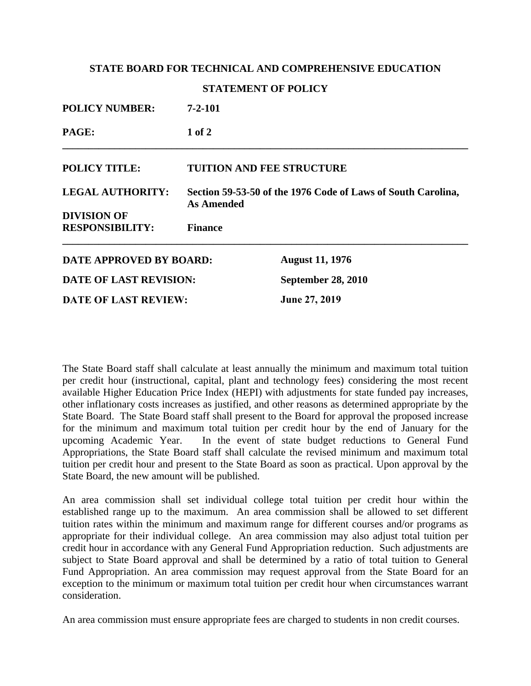## **STATE BOARD FOR TECHNICAL AND COMPREHENSIVE EDUCATION**

## **STATEMENT OF POLICY**

| <b>POLICY NUMBER:</b>         | $7 - 2 - 101$                                                              |                           |
|-------------------------------|----------------------------------------------------------------------------|---------------------------|
| PAGE:                         | $1$ of $2$                                                                 |                           |
| <b>POLICY TITLE:</b>          | <b>TUITION AND FEE STRUCTURE</b>                                           |                           |
| <b>LEGAL AUTHORITY:</b>       | Section 59-53-50 of the 1976 Code of Laws of South Carolina,<br>As Amended |                           |
| <b>DIVISION OF</b>            |                                                                            |                           |
| <b>RESPONSIBILITY:</b>        | <b>Finance</b>                                                             |                           |
| DATE APPROVED BY BOARD:       |                                                                            | <b>August 11, 1976</b>    |
| <b>DATE OF LAST REVISION:</b> |                                                                            | <b>September 28, 2010</b> |
| <b>DATE OF LAST REVIEW:</b>   |                                                                            | June 27, 2019             |

The State Board staff shall calculate at least annually the minimum and maximum total tuition per credit hour (instructional, capital, plant and technology fees) considering the most recent available Higher Education Price Index (HEPI) with adjustments for state funded pay increases, other inflationary costs increases as justified, and other reasons as determined appropriate by the State Board. The State Board staff shall present to the Board for approval the proposed increase for the minimum and maximum total tuition per credit hour by the end of January for the upcoming Academic Year. In the event of state budget reductions to General Fund Appropriations, the State Board staff shall calculate the revised minimum and maximum total tuition per credit hour and present to the State Board as soon as practical. Upon approval by the State Board, the new amount will be published.

An area commission shall set individual college total tuition per credit hour within the established range up to the maximum. An area commission shall be allowed to set different tuition rates within the minimum and maximum range for different courses and/or programs as appropriate for their individual college. An area commission may also adjust total tuition per credit hour in accordance with any General Fund Appropriation reduction. Such adjustments are subject to State Board approval and shall be determined by a ratio of total tuition to General Fund Appropriation. An area commission may request approval from the State Board for an exception to the minimum or maximum total tuition per credit hour when circumstances warrant consideration.

An area commission must ensure appropriate fees are charged to students in non credit courses.